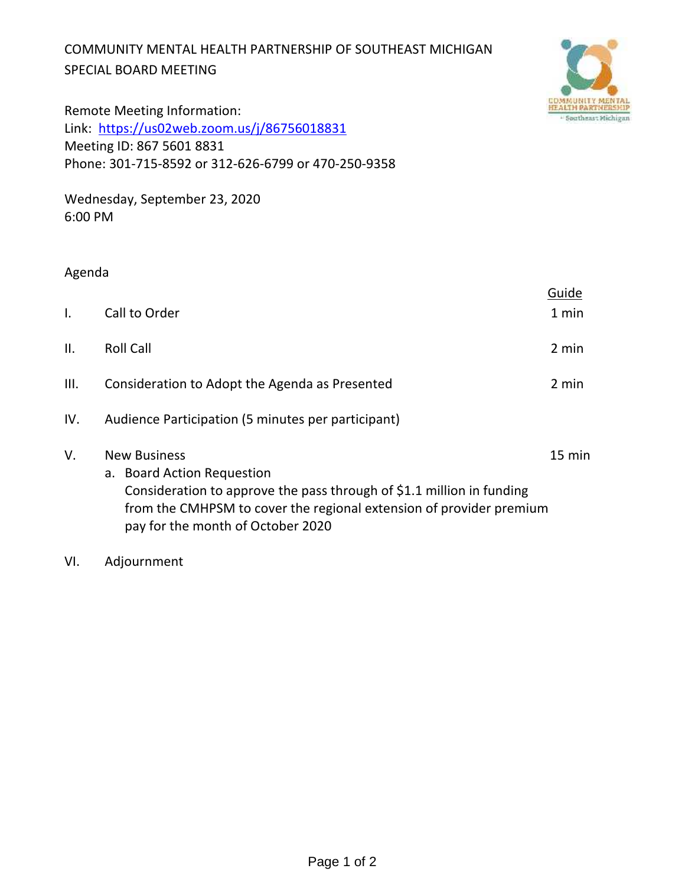## COMMUNITY MENTAL HEALTH PARTNERSHIP OF SOUTHEAST MICHIGAN SPECIAL BOARD MEETING



Remote Meeting Information: Link: https://us02web.zoom.us/j/86756018831 Meeting ID: 867 5601 8831 Phone: 301-715-8592 or 312-626-6799 or 470-250-9358

Wednesday, September 23, 2020 6:00 PM

## Agenda

|              |                                                                                                                                                                                                                                        | Guide  |
|--------------|----------------------------------------------------------------------------------------------------------------------------------------------------------------------------------------------------------------------------------------|--------|
| $\mathsf{L}$ | Call to Order                                                                                                                                                                                                                          | 1 min  |
| II.          | <b>Roll Call</b>                                                                                                                                                                                                                       | 2 min  |
| III.         | Consideration to Adopt the Agenda as Presented                                                                                                                                                                                         | 2 min  |
| IV.          | Audience Participation (5 minutes per participant)                                                                                                                                                                                     |        |
| V.           | <b>New Business</b><br>a. Board Action Requestion<br>Consideration to approve the pass through of \$1.1 million in funding<br>from the CMHPSM to cover the regional extension of provider premium<br>pay for the month of October 2020 | 15 min |

VI. Adjournment